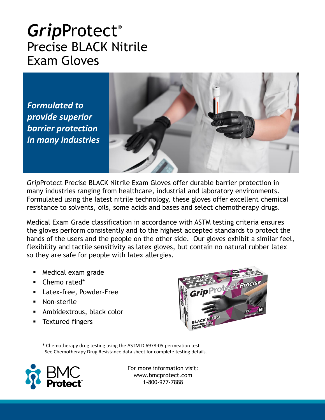## *Grip*Protect® Precise BLACK Nitrile Exam Gloves

*Formulated to provide superior barrier protection in many industries*



*Grip*Protect Precise BLACK Nitrile Exam Gloves offer durable barrier protection in many industries ranging from healthcare, industrial and laboratory environments. Formulated using the latest nitrile technology, these gloves offer excellent chemical resistance to solvents, oils, some acids and bases and select chemotherapy drugs.

Medical Exam Grade classification in accordance with ASTM testing criteria ensures the gloves perform consistently and to the highest accepted standards to protect the hands of the users and the people on the other side. Our gloves exhibit a similar feel, flexibility and tactile sensitivity as latex gloves, but contain no natural rubber latex so they are safe for people with latex allergies.

- Medical exam grade
- Chemo rated\*
- Latex-free, Powder-Free
- Non-sterile
- **EXECUTE:** Ambidextrous, black color
- **Textured fingers**



\* Chemotherapy drug testing using the ASTM D 6978-05 permeation test. See Chemotherapy Drug Resistance data sheet for complete testing details.



For more information visit: www.bmcprotect.com 1-800-977-7888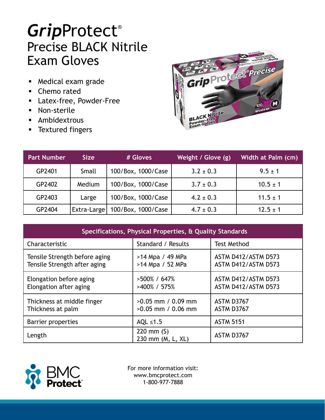## *Grip*Protect® Precise BLACK Nitrile Exam Gloves

- Medical exam grade
- Chemo rated
- Latex-free, Powder-Free
- Non-sterile
- Ambidextrous
- **■** Textured fingers



| <b>Part Number</b> | <b>Size</b> | # Gloves           | Weight / Glove (g) | Width at Palm (cm) |
|--------------------|-------------|--------------------|--------------------|--------------------|
| GP2401             | Small       | 100/Box, 1000/Case | $3.2 \pm 0.3$      | $9.5 \pm 1$        |
| GP2402             | Medium      | 100/Box, 1000/Case | $3.7 \pm 0.3$      | $10.5 \pm 1$       |
| GP2403             | Large       | 100/Box, 1000/Case | $4.2 \pm 0.3$      | $11.5 \pm 1$       |
| GP2404             | Extra-Large | 100/Box, 1000/Case | $4.7 \pm 0.3$      | $12.5 \pm 1$       |

| Specifications, Physical Properties, & Quality Standards      |                                              |                                            |  |  |  |
|---------------------------------------------------------------|----------------------------------------------|--------------------------------------------|--|--|--|
| Characteristic                                                | Standard / Results                           | <b>Test Method</b>                         |  |  |  |
| Tensile Strength before aging<br>Tensile Strength after aging | >14 Mpa / 49 MPa<br>>14 Mpa / 52 MPa         | ASTM D412/ASTM D573<br>ASTM D412/ASTM D573 |  |  |  |
| Elongation before aging<br>Elongation after aging             | $>500\%$ / 647\%<br>>400% / 575%             | ASTM D412/ASTM D573<br>ASTM D412/ASTM D573 |  |  |  |
| Thickness at middle finger<br>Thickness at palm               | $>0.05$ mm / 0.09 mm<br>$>0.05$ mm / 0.06 mm | ASTM D3767<br><b>ASTM D3767</b>            |  |  |  |
| Barrier properties                                            | AQL $\leq 1.5$                               | <b>ASTM 5151</b>                           |  |  |  |
| Length                                                        | 220 mm $(S)$<br>230 mm (M, L, XL)            | ASTM D3767                                 |  |  |  |



For more information visit: www.bmcprotect.com 1-800-977-7888